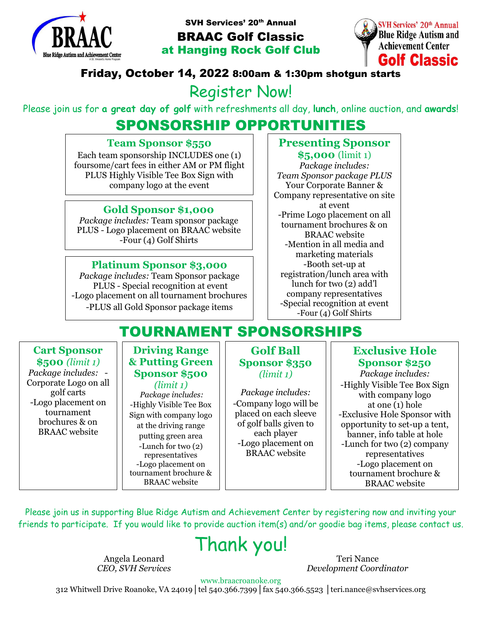

SVH Services' 20<sup>th</sup> Annual

BRAAC Golf Classic at Hanging Rock Golf Club



## Friday, October 14, 2022 8:00am & 1:30pm shotgun starts

# Register Now!

Please join us for **a great day of golf** with refreshments all day, **lunch**, online auction, and **awards**!

# SPONSORSHIP OPPORTUNITIES

#### **Team Sponsor \$550**

Each team sponsorship INCLUDES one (1) foursome/cart fees in either AM or PM flight PLUS Highly Visible Tee Box Sign with company logo at the event

## **Gold Sponsor \$1,000**

*Package includes:* Team sponsor package PLUS - Logo placement on BRAAC website -Four (4) Golf Shirts

## **Platinum Sponsor \$3,000**

*Package includes:* Team Sponsor package PLUS - Special recognition at event -Logo placement on all tournament brochures -PLUS all Gold Sponsor package items

## **Presenting Sponsor**

**\$5,000** (limit 1) *Package includes: Team Sponsor package PLUS* Your Corporate Banner & Company representative on site at event -Prime Logo placement on all tournament brochures & on BRAAC website -Mention in all media and marketing materials -Booth set-up at registration/lunch area with lunch for two (2) add'l company representatives -Special recognition at event -Four (4) Golf Shirts

# TOURNAMENT SPONSORSHIPS

#### **Cart Sponsor \$500** *(limit 1)*

*Package includes:* - Corporate Logo on all golf carts -Logo placement on tournament brochures & on BRAAC website

#### **Driving Range & Putting Green Sponsor \$500**

*(limit 1) Package includes:* -Highly Visible Tee Box Sign with company logo at the driving range putting green area -Lunch for two (2) representatives -Logo placement on tournament brochure & BRAAC website

#### **Golf Ball Sponsor \$350** *(limit 1)*

*Package includes:* -Company logo will be placed on each sleeve of golf balls given to each player -Logo placement on BRAAC website

## **Exclusive Hole Sponsor \$250**

*Package includes:* -Highly Visible Tee Box Sign with company logo at one  $(1)$  hole -Exclusive Hole Sponsor with opportunity to set-up a tent, banner, info table at hole -Lunch for two (2) company representatives -Logo placement on tournament brochure & BRAAC website

Please join us in supporting Blue Ridge Autism and Achievement Center by registering now and inviting your friends to participate. If you would like to provide auction item(s) and/or goodie bag items, please contact us.

# Thank you!

Angela Leonard *CEO, SVH Services*

Teri Nance *Development Coordinator*

www.braacroanoke.org

312 Whitwell Drive Roanoke, VA 24019│tel 540.366.7399│fax 540.366.5523 │teri.nance@svhservices.org